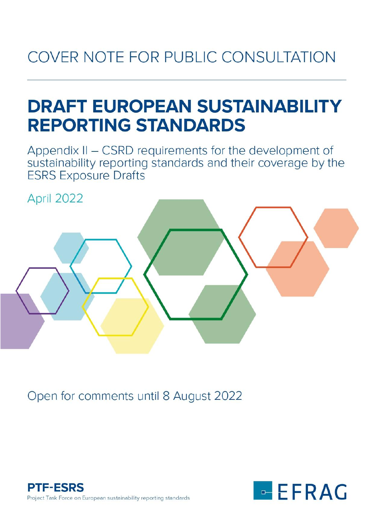# COVER NOTE FOR PUBLIC CONSULTATION

# **DRAFT EUROPEAN SUSTAINABILITY REPORTING STANDARDS**

Appendix II - CSRD requirements for the development of sustainability reporting standards and their coverage by the **ESRS Exposure Drafts** 

April 2022





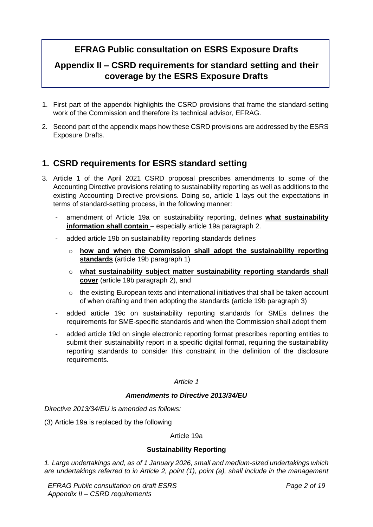# **EFRAG Public consultation on ESRS Exposure Drafts**

# **Appendix II – CSRD requirements for standard setting and their coverage by the ESRS Exposure Drafts**

- 1. First part of the appendix highlights the CSRD provisions that frame the standard-setting work of the Commission and therefore its technical advisor, EFRAG.
- 2. Second part of the appendix maps how these CSRD provisions are addressed by the ESRS Exposure Drafts.

# **1. CSRD requirements for ESRS standard setting**

- 3. Article 1 of the April 2021 CSRD proposal prescribes amendments to some of the Accounting Directive provisions relating to sustainability reporting as well as additions to the existing Accounting Directive provisions. Doing so, article 1 lays out the expectations in terms of standard-setting process, in the following manner:
	- amendment of Article 19a on sustainability reporting, defines **what sustainability information shall contain** – especially article 19a paragraph 2.
	- added article 19b on sustainability reporting standards defines
		- o **how and when the Commission shall adopt the sustainability reporting standards** (article 19b paragraph 1)
		- o **what sustainability subject matter sustainability reporting standards shall cover** (article 19b paragraph 2), and
		- $\circ$  the existing European texts and international initiatives that shall be taken account of when drafting and then adopting the standards (article 19b paragraph 3)
	- added article 19c on sustainability reporting standards for SMEs defines the requirements for SME-specific standards and when the Commission shall adopt them
	- added article 19d on single electronic reporting format prescribes reporting entities to submit their sustainability report in a specific digital format, requiring the sustainability reporting standards to consider this constraint in the definition of the disclosure requirements.

*Article 1*

#### *Amendments to Directive 2013/34/EU*

*Directive 2013/34/EU is amended as follows:* 

(3) Article 19a is replaced by the following

Article 19a

## **Sustainability Reporting**

*1. Large undertakings and, as of 1 January 2026, small and medium-sized undertakings which are undertakings referred to in Article 2, point (1), point (a), shall include in the management* 

*EFRAG Public consultation on draft ESRS Appendix II – CSRD requirements*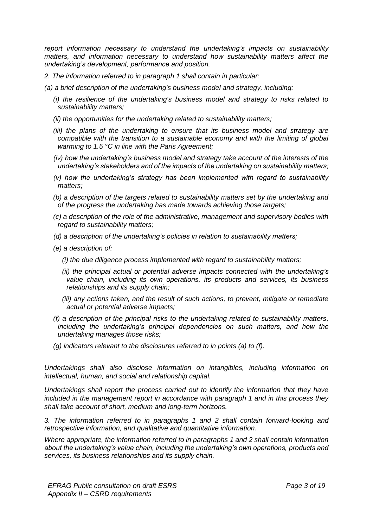*report information necessary to understand the undertaking's impacts on sustainability matters, and information necessary to understand how sustainability matters affect the undertaking's development, performance and position.*

- *2. The information referred to in paragraph 1 shall contain in particular:*
- *(a) a brief description of the undertaking's business model and strategy, including:* 
	- *(i) the resilience of the undertaking's business model and strategy to risks related to sustainability matters;*
	- *(ii) the opportunities for the undertaking related to sustainability matters;*
	- *(iii) the plans of the undertaking to ensure that its business model and strategy are compatible with the transition to a sustainable economy and with the limiting of global warming to 1.5 °C in line with the Paris Agreement;*
	- *(iv) how the undertaking's business model and strategy take account of the interests of the undertaking's stakeholders and of the impacts of the undertaking on sustainability matters;*
	- *(v) how the undertaking's strategy has been implemented with regard to sustainability matters;*
	- *(b) a description of the targets related to sustainability matters set by the undertaking and of the progress the undertaking has made towards achieving those targets;*
	- *(c) a description of the role of the administrative, management and supervisory bodies with regard to sustainability matters;*
	- *(d) a description of the undertaking's policies in relation to sustainability matters;*
	- *(e) a description of:* 
		- *(i) the due diligence process implemented with regard to sustainability matters;*
		- *(ii) the principal actual or potential adverse impacts connected with the undertaking's value chain, including its own operations, its products and services, its business relationships and its supply chain;*
		- *(iii) any actions taken, and the result of such actions, to prevent, mitigate or remediate actual or potential adverse impacts;*
	- *(f) a description of the principal risks to the undertaking related to sustainability matters, including the undertaking's principal dependencies on such matters, and how the undertaking manages those risks;*
	- *(g) indicators relevant to the disclosures referred to in points (a) to (f).*

*Undertakings shall also disclose information on intangibles, including information on intellectual, human, and social and relationship capital.* 

*Undertakings shall report the process carried out to identify the information that they have included in the management report in accordance with paragraph 1 and in this process they shall take account of short, medium and long-term horizons.*

*3. The information referred to in paragraphs 1 and 2 shall contain forward-looking and retrospective information, and qualitative and quantitative information.* 

*Where appropriate, the information referred to in paragraphs 1 and 2 shall contain information about the undertaking's value chain, including the undertaking's own operations, products and services, its business relationships and its supply chain.*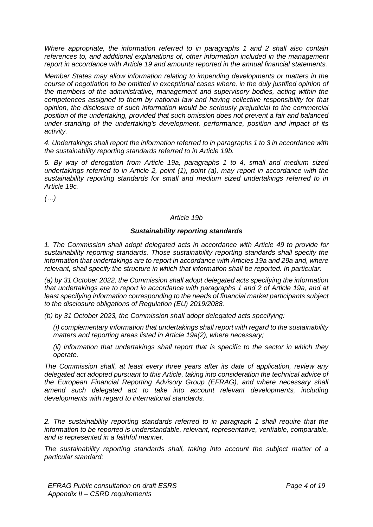*Where appropriate, the information referred to in paragraphs 1 and 2 shall also contain references to, and additional explanations of, other information included in the management report in accordance with Article 19 and amounts reported in the annual financial statements.* 

*Member States may allow information relating to impending developments or matters in the course of negotiation to be omitted in exceptional cases where, in the duly justified opinion of the members of the administrative, management and supervisory bodies, acting within the competences assigned to them by national law and having collective responsibility for that opinion, the disclosure of such information would be seriously prejudicial to the commercial position of the undertaking, provided that such omission does not prevent a fair and balanced under-standing of the undertaking's development, performance, position and impact of its activity.*

*4. Undertakings shall report the information referred to in paragraphs 1 to 3 in accordance with the sustainability reporting standards referred to in Article 19b.* 

*5. By way of derogation from Article 19a, paragraphs 1 to 4, small and medium sized undertakings referred to in Article 2, point (1), point (a), may report in accordance with the sustainability reporting standards for small and medium sized undertakings referred to in Article 19c.*

*(…)*

#### *Article 19b*

#### *Sustainability reporting standards*

*1. The Commission shall adopt delegated acts in accordance with Article 49 to provide for sustainability reporting standards. Those sustainability reporting standards shall specify the information that undertakings are to report in accordance with Articles 19a and 29a and, where relevant, shall specify the structure in which that information shall be reported. In particular:* 

*(a) by 31 October 2022, the Commission shall adopt delegated acts specifying the information that undertakings are to report in accordance with paragraphs 1 and 2 of Article 19a, and at least specifying information corresponding to the needs of financial market participants subject to the disclosure obligations of Regulation (EU) 2019/2088.* 

*(b) by 31 October 2023, the Commission shall adopt delegated acts specifying:* 

*(i) complementary information that undertakings shall report with regard to the sustainability matters and reporting areas listed in Article 19a(2), where necessary;* 

*(ii) information that undertakings shall report that is specific to the sector in which they operate.* 

*The Commission shall, at least every three years after its date of application, review any delegated act adopted pursuant to this Article, taking into consideration the technical advice of the European Financial Reporting Advisory Group (EFRAG), and where necessary shall amend such delegated act to take into account relevant developments, including developments with regard to international standards.*

*2. The sustainability reporting standards referred to in paragraph 1 shall require that the information to be reported is understandable, relevant, representative, verifiable, comparable, and is represented in a faithful manner.* 

*The sustainability reporting standards shall, taking into account the subject matter of a particular standard:*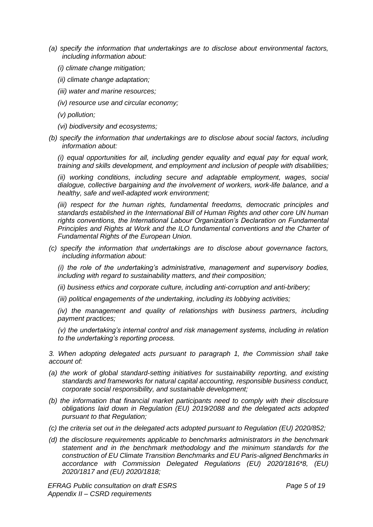- *(a) specify the information that undertakings are to disclose about environmental factors, including information about:* 
	- *(i) climate change mitigation;*
	- *(ii) climate change adaptation;*
	- *(iii) water and marine resources;*
	- *(iv) resource use and circular economy;*
	- *(v) pollution;*
	- *(vi) biodiversity and ecosystems;*
- *(b) specify the information that undertakings are to disclose about social factors, including information about:*

*(i) equal opportunities for all, including gender equality and equal pay for equal work, training and skills development, and employment and inclusion of people with disabilities;* 

*(ii) working conditions, including secure and adaptable employment, wages, social dialogue, collective bargaining and the involvement of workers, work-life balance, and a healthy, safe and well-adapted work environment;* 

*(iii)* respect for the human rights, fundamental freedoms, democratic principles and *standards established in the International Bill of Human Rights and other core UN human rights conventions, the International Labour Organization's Declaration on Fundamental Principles and Rights at Work and the ILO fundamental conventions and the Charter of Fundamental Rights of the European Union.* 

*(c) specify the information that undertakings are to disclose about governance factors, including information about:* 

*(i) the role of the undertaking's administrative, management and supervisory bodies, including with regard to sustainability matters, and their composition;* 

*(ii) business ethics and corporate culture, including anti-corruption and anti-bribery;* 

*(iii) political engagements of the undertaking, including its lobbying activities;* 

*(iv) the management and quality of relationships with business partners, including payment practices;* 

*(v) the undertaking's internal control and risk management systems, including in relation to the undertaking's reporting process.*

*3. When adopting delegated acts pursuant to paragraph 1, the Commission shall take account of:* 

- *(a) the work of global standard-setting initiatives for sustainability reporting, and existing standards and frameworks for natural capital accounting, responsible business conduct, corporate social responsibility, and sustainable development;*
- *(b) the information that financial market participants need to comply with their disclosure obligations laid down in Regulation (EU) 2019/2088 and the delegated acts adopted pursuant to that Regulation;*
- *(c) the criteria set out in the delegated acts adopted pursuant to Regulation (EU) 2020/852;*
- *(d) the disclosure requirements applicable to benchmarks administrators in the benchmark statement and in the benchmark methodology and the minimum standards for the construction of EU Climate Transition Benchmarks and EU Paris-aligned Benchmarks in accordance with Commission Delegated Regulations (EU) 2020/1816\*8, (EU) 2020/1817 and (EU) 2020/1818;*

*EFRAG Public consultation on draft ESRS Appendix II – CSRD requirements*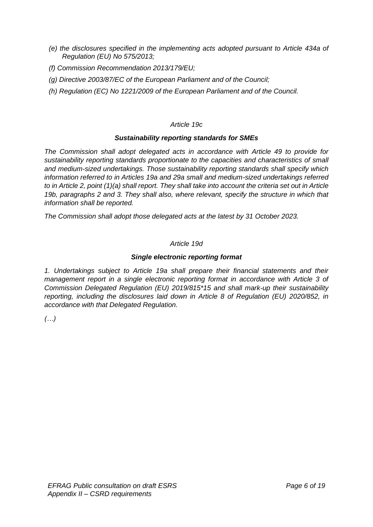- *(e) the disclosures specified in the implementing acts adopted pursuant to Article 434a of Regulation (EU) No 575/2013;*
- *(f) Commission Recommendation 2013/179/EU;*
- *(g) Directive 2003/87/EC of the European Parliament and of the Council;*
- *(h) Regulation (EC) No 1221/2009 of the European Parliament and of the Council.*

## *Article 19c*

## *Sustainability reporting standards for SMEs*

*The Commission shall adopt delegated acts in accordance with Article 49 to provide for sustainability reporting standards proportionate to the capacities and characteristics of small and medium-sized undertakings. Those sustainability reporting standards shall specify which information referred to in Articles 19a and 29a small and medium-sized undertakings referred to in Article 2, point (1)(a) shall report. They shall take into account the criteria set out in Article 19b, paragraphs 2 and 3. They shall also, where relevant, specify the structure in which that information shall be reported.* 

*The Commission shall adopt those delegated acts at the latest by 31 October 2023.*

## *Article 19d*

## *Single electronic reporting format*

*1. Undertakings subject to Article 19a shall prepare their financial statements and their management report in a single electronic reporting format in accordance with Article 3 of Commission Delegated Regulation (EU) 2019/815\*15 and shall mark-up their sustainability reporting, including the disclosures laid down in Article 8 of Regulation (EU) 2020/852, in accordance with that Delegated Regulation.*

*(…)*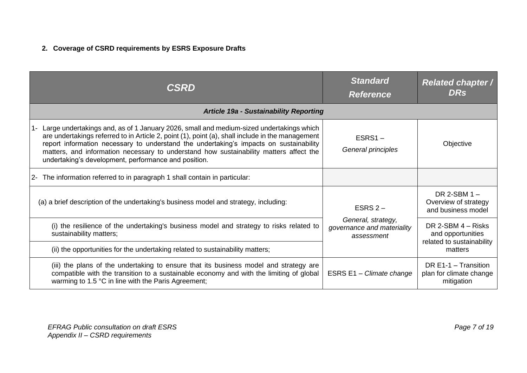# **2. Coverage of CSRD requirements by ESRS Exposure Drafts**

| <b>CSRD</b>                                                                                                                                                                                                                                                                                                                                                                                                                             | <b>Standard</b><br><b>Reference</b>                                         | <b>Related chapter /</b><br><b>DRs</b>                                 |
|-----------------------------------------------------------------------------------------------------------------------------------------------------------------------------------------------------------------------------------------------------------------------------------------------------------------------------------------------------------------------------------------------------------------------------------------|-----------------------------------------------------------------------------|------------------------------------------------------------------------|
| <b>Article 19a - Sustainability Reporting</b>                                                                                                                                                                                                                                                                                                                                                                                           |                                                                             |                                                                        |
| Large undertakings and, as of 1 January 2026, small and medium-sized undertakings which<br>are undertakings referred to in Article 2, point (1), point (a), shall include in the management<br>report information necessary to understand the undertaking's impacts on sustainability<br>matters, and information necessary to understand how sustainability matters affect the<br>undertaking's development, performance and position. | $ESRS1 -$<br>General principles                                             | Objective                                                              |
| The information referred to in paragraph 1 shall contain in particular:<br>$2 -$                                                                                                                                                                                                                                                                                                                                                        |                                                                             |                                                                        |
| (a) a brief description of the undertaking's business model and strategy, including:                                                                                                                                                                                                                                                                                                                                                    | ESRS $2-$<br>General, strategy,<br>governance and materiality<br>assessment | DR 2-SBM $1 -$<br>Overview of strategy<br>and business model           |
| (i) the resilience of the undertaking's business model and strategy to risks related to<br>sustainability matters;                                                                                                                                                                                                                                                                                                                      |                                                                             | DR 2-SBM $4 -$ Risks<br>and opportunities<br>related to sustainability |
| (ii) the opportunities for the undertaking related to sustainability matters;                                                                                                                                                                                                                                                                                                                                                           |                                                                             | matters                                                                |
| (iii) the plans of the undertaking to ensure that its business model and strategy are<br>compatible with the transition to a sustainable economy and with the limiting of global<br>warming to 1.5 °C in line with the Paris Agreement;                                                                                                                                                                                                 | ESRS E1 - Climate change                                                    | DR $E1-1 -$ Transition<br>plan for climate change<br>mitigation        |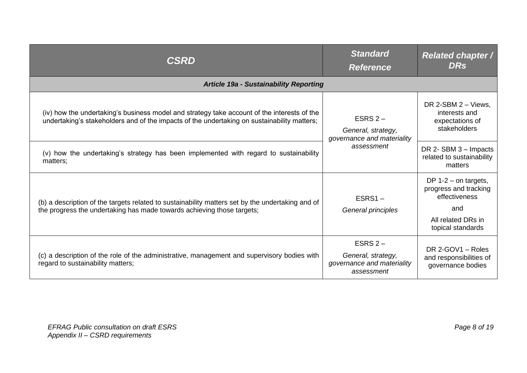| <b>CSRD</b>                                                                                                                                                                                | <b>Standard</b><br><b>Reference</b>                                         | <b>Related chapter /</b><br><b>DRs</b>                                                                             |
|--------------------------------------------------------------------------------------------------------------------------------------------------------------------------------------------|-----------------------------------------------------------------------------|--------------------------------------------------------------------------------------------------------------------|
| <b>Article 19a - Sustainability Reporting</b>                                                                                                                                              |                                                                             |                                                                                                                    |
| (iv) how the undertaking's business model and strategy take account of the interests of the<br>undertaking's stakeholders and of the impacts of the undertaking on sustainability matters; | ESRS $2-$<br>General, strategy,<br>governance and materiality<br>assessment | DR 2-SBM 2 - Views,<br>interests and<br>expectations of<br>stakeholders                                            |
| (v) how the undertaking's strategy has been implemented with regard to sustainability<br>matters;                                                                                          |                                                                             | DR $2-$ SBM $3-$ Impacts<br>related to sustainability<br>matters                                                   |
| (b) a description of the targets related to sustainability matters set by the undertaking and of<br>the progress the undertaking has made towards achieving those targets;                 | $ESRS1 -$<br>General principles                                             | DP $1-2$ – on targets,<br>progress and tracking<br>effectiveness<br>and<br>All related DRs in<br>topical standards |
| (c) a description of the role of the administrative, management and supervisory bodies with<br>regard to sustainability matters;                                                           | ESRS $2-$<br>General, strategy,<br>governance and materiality<br>assessment | DR 2-GOV1 - Roles<br>and responsibilities of<br>governance bodies                                                  |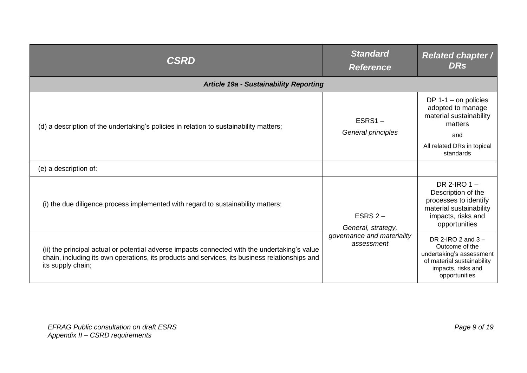| <b>CSRD</b>                                                                                                                                                                                                          | <b>Standard</b><br><b>Reference</b>                                         | <b>Related chapter /</b><br><b>DRs</b>                                                                                                |
|----------------------------------------------------------------------------------------------------------------------------------------------------------------------------------------------------------------------|-----------------------------------------------------------------------------|---------------------------------------------------------------------------------------------------------------------------------------|
| <b>Article 19a - Sustainability Reporting</b>                                                                                                                                                                        |                                                                             |                                                                                                                                       |
| (d) a description of the undertaking's policies in relation to sustainability matters;                                                                                                                               | $ESRS1 -$<br>General principles                                             | DP $1-1$ – on policies<br>adopted to manage<br>material sustainability<br>matters<br>and<br>All related DRs in topical<br>standards   |
| (e) a description of:                                                                                                                                                                                                |                                                                             |                                                                                                                                       |
| (i) the due diligence process implemented with regard to sustainability matters;                                                                                                                                     | ESRS $2-$<br>General, strategy,<br>governance and materiality<br>assessment | DR 2-IRO $1 -$<br>Description of the<br>processes to identify<br>material sustainability<br>impacts, risks and<br>opportunities       |
| (ii) the principal actual or potential adverse impacts connected with the undertaking's value<br>chain, including its own operations, its products and services, its business relationships and<br>its supply chain; |                                                                             | DR 2-IRO 2 and 3 -<br>Outcome of the<br>undertaking's assessment<br>of material sustainability<br>impacts, risks and<br>opportunities |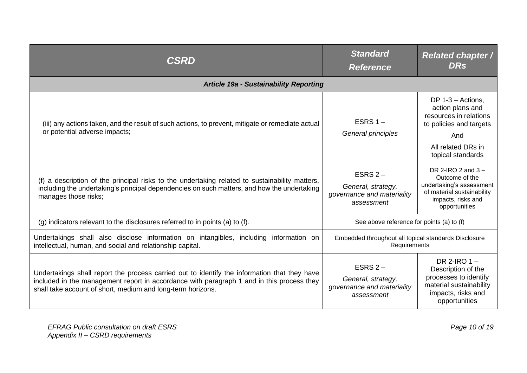| CSRD                                                                                                                                                                                                                                                     | <b>Standard</b><br><b>Reference</b>                                         | <b>Related chapter /</b><br><b>DRs</b>                                                                                                         |
|----------------------------------------------------------------------------------------------------------------------------------------------------------------------------------------------------------------------------------------------------------|-----------------------------------------------------------------------------|------------------------------------------------------------------------------------------------------------------------------------------------|
| <b>Article 19a - Sustainability Reporting</b>                                                                                                                                                                                                            |                                                                             |                                                                                                                                                |
| (iii) any actions taken, and the result of such actions, to prevent, mitigate or remediate actual<br>or potential adverse impacts;                                                                                                                       | ESRS $1 -$<br>General principles                                            | DP $1-3$ – Actions,<br>action plans and<br>resources in relations<br>to policies and targets<br>And<br>All related DRs in<br>topical standards |
| (f) a description of the principal risks to the undertaking related to sustainability matters,<br>including the undertaking's principal dependencies on such matters, and how the undertaking<br>manages those risks;                                    | ESRS $2-$<br>General, strategy,<br>governance and materiality<br>assessment | DR 2-IRO 2 and $3 -$<br>Outcome of the<br>undertaking's assessment<br>of material sustainability<br>impacts, risks and<br>opportunities        |
| (g) indicators relevant to the disclosures referred to in points (a) to (f).                                                                                                                                                                             | See above reference for points (a) to (f)                                   |                                                                                                                                                |
| Undertakings shall also disclose information on intangibles, including information on<br>intellectual, human, and social and relationship capital.                                                                                                       | Embedded throughout all topical standards Disclosure<br>Requirements        |                                                                                                                                                |
| Undertakings shall report the process carried out to identify the information that they have<br>included in the management report in accordance with paragraph 1 and in this process they<br>shall take account of short, medium and long-term horizons. | ESRS $2-$<br>General, strategy,<br>governance and materiality<br>assessment | DR 2-IRO $1 -$<br>Description of the<br>processes to identify<br>material sustainability<br>impacts, risks and<br>opportunities                |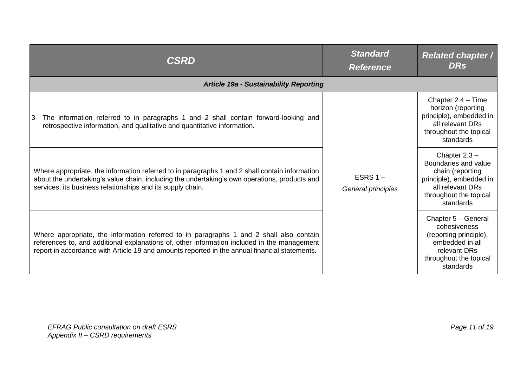| <b>CSRD</b>                                                                                                                                                                                                                                                                             | <b>Standard</b><br><b>Reference</b> | <b>Related chapter /</b><br><b>DRs</b>                                                                                                            |
|-----------------------------------------------------------------------------------------------------------------------------------------------------------------------------------------------------------------------------------------------------------------------------------------|-------------------------------------|---------------------------------------------------------------------------------------------------------------------------------------------------|
| <b>Article 19a - Sustainability Reporting</b>                                                                                                                                                                                                                                           |                                     |                                                                                                                                                   |
| The information referred to in paragraphs 1 and 2 shall contain forward-looking and<br>3-<br>retrospective information, and qualitative and quantitative information.                                                                                                                   | ESRS $1 -$<br>General principles    | Chapter 2.4 - Time<br>horizon (reporting<br>principle), embedded in<br>all relevant DRs<br>throughout the topical<br>standards                    |
| Where appropriate, the information referred to in paragraphs 1 and 2 shall contain information<br>about the undertaking's value chain, including the undertaking's own operations, products and<br>services, its business relationships and its supply chain.                           |                                     | Chapter $2.3 -$<br>Boundaries and value<br>chain (reporting<br>principle), embedded in<br>all relevant DRs<br>throughout the topical<br>standards |
| Where appropriate, the information referred to in paragraphs 1 and 2 shall also contain<br>references to, and additional explanations of, other information included in the management<br>report in accordance with Article 19 and amounts reported in the annual financial statements. |                                     | Chapter 5 - General<br>cohesiveness<br>(reporting principle),<br>embedded in all<br>relevant DRs<br>throughout the topical<br>standards           |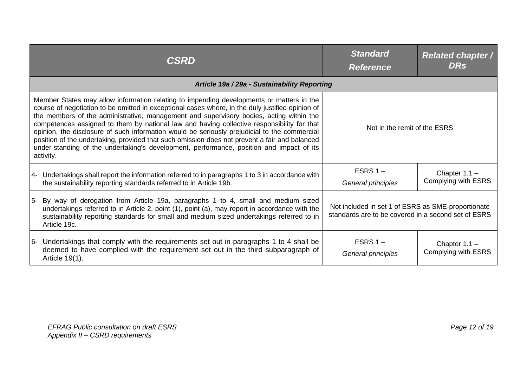| <b>CSRD</b>                                                                                                                                                                                                                                                                                                                                                                                                                                                                                                                                                                                                                                                                                     | <b>Standard</b><br><b>Reference</b>                                                                       | <b>Related chapter /</b><br><b>DRs</b>        |
|-------------------------------------------------------------------------------------------------------------------------------------------------------------------------------------------------------------------------------------------------------------------------------------------------------------------------------------------------------------------------------------------------------------------------------------------------------------------------------------------------------------------------------------------------------------------------------------------------------------------------------------------------------------------------------------------------|-----------------------------------------------------------------------------------------------------------|-----------------------------------------------|
| Article 19a / 29a - Sustainability Reporting                                                                                                                                                                                                                                                                                                                                                                                                                                                                                                                                                                                                                                                    |                                                                                                           |                                               |
| Member States may allow information relating to impending developments or matters in the<br>course of negotiation to be omitted in exceptional cases where, in the duly justified opinion of<br>the members of the administrative, management and supervisory bodies, acting within the<br>competences assigned to them by national law and having collective responsibility for that<br>opinion, the disclosure of such information would be seriously prejudicial to the commercial<br>position of the undertaking, provided that such omission does not prevent a fair and balanced<br>under-standing of the undertaking's development, performance, position and impact of its<br>activity. | Not in the remit of the ESRS                                                                              |                                               |
| $ 4-$ Undertakings shall report the information referred to in paragraphs 1 to 3 in accordance with<br>the sustainability reporting standards referred to in Article 19b.                                                                                                                                                                                                                                                                                                                                                                                                                                                                                                                       | ESRS $1 -$<br>General principles                                                                          | Chapter $1.1 -$<br><b>Complying with ESRS</b> |
| 5- By way of derogation from Article 19a, paragraphs 1 to 4, small and medium sized<br>undertakings referred to in Article 2, point (1), point (a), may report in accordance with the<br>sustainability reporting standards for small and medium sized undertakings referred to in<br>Article 19c.                                                                                                                                                                                                                                                                                                                                                                                              | Not included in set 1 of ESRS as SME-proportionate<br>standards are to be covered in a second set of ESRS |                                               |
| 6- Undertakings that comply with the requirements set out in paragraphs 1 to 4 shall be<br>deemed to have complied with the requirement set out in the third subparagraph of<br>Article 19(1).                                                                                                                                                                                                                                                                                                                                                                                                                                                                                                  | ESRS $1 -$<br>General principles                                                                          | Chapter $1.1 -$<br><b>Complying with ESRS</b> |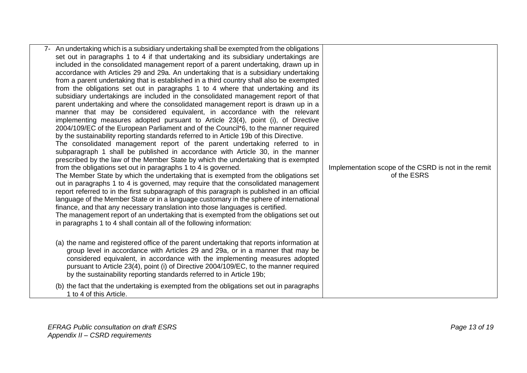| 7- An undertaking which is a subsidiary undertaking shall be exempted from the obligations |                                                      |
|--------------------------------------------------------------------------------------------|------------------------------------------------------|
| set out in paragraphs 1 to 4 if that undertaking and its subsidiary undertakings are       |                                                      |
| included in the consolidated management report of a parent undertaking, drawn up in        |                                                      |
| accordance with Articles 29 and 29a. An undertaking that is a subsidiary undertaking       |                                                      |
| from a parent undertaking that is established in a third country shall also be exempted    |                                                      |
| from the obligations set out in paragraphs 1 to 4 where that undertaking and its           |                                                      |
| subsidiary undertakings are included in the consolidated management report of that         |                                                      |
| parent undertaking and where the consolidated management report is drawn up in a           |                                                      |
| manner that may be considered equivalent, in accordance with the relevant                  |                                                      |
| implementing measures adopted pursuant to Article 23(4), point (i), of Directive           |                                                      |
| 2004/109/EC of the European Parliament and of the Council*6, to the manner required        |                                                      |
| by the sustainability reporting standards referred to in Article 19b of this Directive.    |                                                      |
| The consolidated management report of the parent undertaking referred to in                |                                                      |
| subparagraph 1 shall be published in accordance with Article 30, in the manner             |                                                      |
| prescribed by the law of the Member State by which the undertaking that is exempted        |                                                      |
| from the obligations set out in paragraphs 1 to 4 is governed.                             | Implementation scope of the CSRD is not in the remit |
| The Member State by which the undertaking that is exempted from the obligations set        | of the ESRS                                          |
| out in paragraphs 1 to 4 is governed, may require that the consolidated management         |                                                      |
| report referred to in the first subparagraph of this paragraph is published in an official |                                                      |
| language of the Member State or in a language customary in the sphere of international     |                                                      |
| finance, and that any necessary translation into those languages is certified.             |                                                      |
| The management report of an undertaking that is exempted from the obligations set out      |                                                      |
| in paragraphs 1 to 4 shall contain all of the following information:                       |                                                      |
|                                                                                            |                                                      |
| (a) the name and registered office of the parent undertaking that reports information at   |                                                      |
| group level in accordance with Articles 29 and 29a, or in a manner that may be             |                                                      |
| considered equivalent, in accordance with the implementing measures adopted                |                                                      |
| pursuant to Article 23(4), point (i) of Directive 2004/109/EC, to the manner required      |                                                      |
| by the sustainability reporting standards referred to in Article 19b;                      |                                                      |
| (b) the fact that the undertaking is exempted from the obligations set out in paragraphs   |                                                      |
| 1 to 4 of this Article.                                                                    |                                                      |
|                                                                                            |                                                      |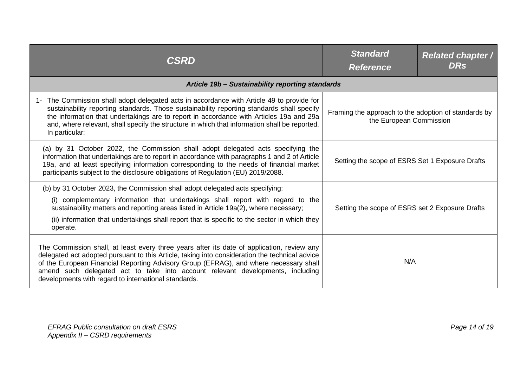| CSRD                                                                                                                                                                                                                                                                                                                                                                                                                            | <b>Standard</b><br><b>Reference</b>                                             | <b>Related chapter /</b><br><b>DRs</b> |
|---------------------------------------------------------------------------------------------------------------------------------------------------------------------------------------------------------------------------------------------------------------------------------------------------------------------------------------------------------------------------------------------------------------------------------|---------------------------------------------------------------------------------|----------------------------------------|
| Article 19b - Sustainability reporting standards                                                                                                                                                                                                                                                                                                                                                                                |                                                                                 |                                        |
| 1- The Commission shall adopt delegated acts in accordance with Article 49 to provide for<br>sustainability reporting standards. Those sustainability reporting standards shall specify<br>the information that undertakings are to report in accordance with Articles 19a and 29a<br>and, where relevant, shall specify the structure in which that information shall be reported.<br>In particular:                           | Framing the approach to the adoption of standards by<br>the European Commission |                                        |
| (a) by 31 October 2022, the Commission shall adopt delegated acts specifying the<br>information that undertakings are to report in accordance with paragraphs 1 and 2 of Article<br>19a, and at least specifying information corresponding to the needs of financial market<br>participants subject to the disclosure obligations of Regulation (EU) 2019/2088.                                                                 | Setting the scope of ESRS Set 1 Exposure Drafts                                 |                                        |
| (b) by 31 October 2023, the Commission shall adopt delegated acts specifying:<br>(i) complementary information that undertakings shall report with regard to the<br>sustainability matters and reporting areas listed in Article 19a(2), where necessary;<br>(ii) information that undertakings shall report that is specific to the sector in which they<br>operate.                                                           | Setting the scope of ESRS set 2 Exposure Drafts                                 |                                        |
| The Commission shall, at least every three years after its date of application, review any<br>delegated act adopted pursuant to this Article, taking into consideration the technical advice<br>of the European Financial Reporting Advisory Group (EFRAG), and where necessary shall<br>amend such delegated act to take into account relevant developments, including<br>developments with regard to international standards. | N/A                                                                             |                                        |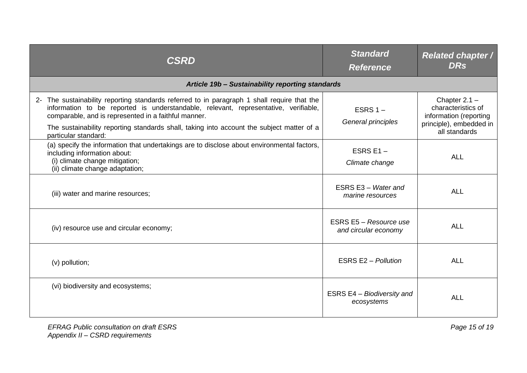| <b>CSRD</b>                                                                                                                                                                                                                                | <b>Standard</b><br><b>Reference</b>            | <b>Related chapter /</b><br><b>DRs</b>                          |
|--------------------------------------------------------------------------------------------------------------------------------------------------------------------------------------------------------------------------------------------|------------------------------------------------|-----------------------------------------------------------------|
| Article 19b - Sustainability reporting standards                                                                                                                                                                                           |                                                |                                                                 |
| 2- The sustainability reporting standards referred to in paragraph 1 shall require that the<br>information to be reported is understandable, relevant, representative, verifiable,<br>comparable, and is represented in a faithful manner. | ESRS $1 -$<br>General principles               | Chapter $2.1 -$<br>characteristics of<br>information (reporting |
| The sustainability reporting standards shall, taking into account the subject matter of a<br>particular standard:                                                                                                                          |                                                | principle), embedded in<br>all standards                        |
| (a) specify the information that undertakings are to disclose about environmental factors,<br>including information about:<br>(i) climate change mitigation;<br>(ii) climate change adaptation;                                            | ESRS E1 $-$<br>Climate change                  | <b>ALL</b>                                                      |
| (iii) water and marine resources;                                                                                                                                                                                                          | ESRS E3 - Water and<br>marine resources        | <b>ALL</b>                                                      |
| (iv) resource use and circular economy;                                                                                                                                                                                                    | ESRS E5 - Resource use<br>and circular economy | <b>ALL</b>                                                      |
| (v) pollution;                                                                                                                                                                                                                             | <b>ESRS E2 - Pollution</b>                     | ALL                                                             |
| (vi) biodiversity and ecosystems;                                                                                                                                                                                                          | ESRS E4 - Biodiversity and<br>ecosystems       | <b>ALL</b>                                                      |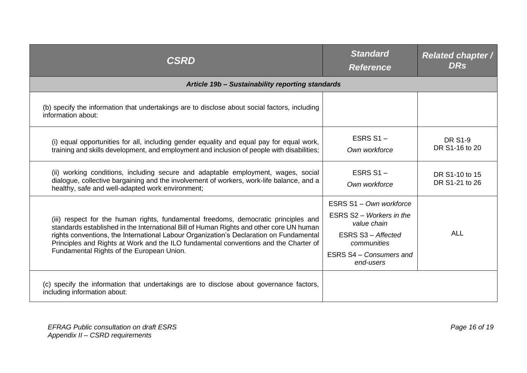| <b>CSRD</b>                                                                                                                                                                                                                                                                                                                                                                                                   | <b>Standard</b><br><b>Reference</b>                                                                                                             | <b>Related chapter /</b><br><b>DRs</b> |
|---------------------------------------------------------------------------------------------------------------------------------------------------------------------------------------------------------------------------------------------------------------------------------------------------------------------------------------------------------------------------------------------------------------|-------------------------------------------------------------------------------------------------------------------------------------------------|----------------------------------------|
| Article 19b - Sustainability reporting standards                                                                                                                                                                                                                                                                                                                                                              |                                                                                                                                                 |                                        |
| (b) specify the information that undertakings are to disclose about social factors, including<br>information about:                                                                                                                                                                                                                                                                                           |                                                                                                                                                 |                                        |
| (i) equal opportunities for all, including gender equality and equal pay for equal work,<br>training and skills development, and employment and inclusion of people with disabilities;                                                                                                                                                                                                                        | ESRS $S1 -$<br>Own workforce                                                                                                                    | <b>DR S1-9</b><br>DR S1-16 to 20       |
| (ii) working conditions, including secure and adaptable employment, wages, social<br>dialogue, collective bargaining and the involvement of workers, work-life balance, and a<br>healthy, safe and well-adapted work environment;                                                                                                                                                                             | ESRS $S1 -$<br>Own workforce                                                                                                                    | DR S1-10 to 15<br>DR S1-21 to 26       |
| (iii) respect for the human rights, fundamental freedoms, democratic principles and<br>standards established in the International Bill of Human Rights and other core UN human<br>rights conventions, the International Labour Organization's Declaration on Fundamental<br>Principles and Rights at Work and the ILO fundamental conventions and the Charter of<br>Fundamental Rights of the European Union. | ESRS S1 - Own workforce<br>ESRS S2 - Workers in the<br>value chain<br>ESRS S3 - Affected<br>communities<br>ESRS S4 - Consumers and<br>end-users | <b>ALL</b>                             |
| (c) specify the information that undertakings are to disclose about governance factors,<br>including information about:                                                                                                                                                                                                                                                                                       |                                                                                                                                                 |                                        |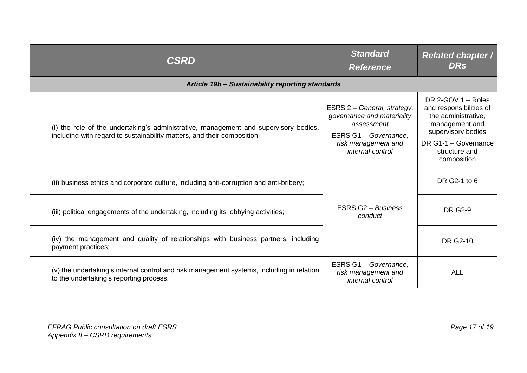| <b>CSRD</b>                                                                                                                                                     | <b>Standard</b><br><b>Reference</b>                                                              | <b>Related chapter /</b><br><b>DRs</b>                                                                         |
|-----------------------------------------------------------------------------------------------------------------------------------------------------------------|--------------------------------------------------------------------------------------------------|----------------------------------------------------------------------------------------------------------------|
| Article 19b - Sustainability reporting standards                                                                                                                |                                                                                                  |                                                                                                                |
| (i) the role of the undertaking's administrative, management and supervisory bodies,<br>including with regard to sustainability matters, and their composition; | ESRS 2 - General, strategy,<br>governance and materiality<br>assessment<br>ESRS G1 - Governance, | DR 2-GOV $1 -$ Roles<br>and responsibilities of<br>the administrative,<br>management and<br>supervisory bodies |
|                                                                                                                                                                 | risk management and<br>internal control                                                          | DR G1-1 - Governance<br>structure and<br>composition                                                           |
| (ii) business ethics and corporate culture, including anti-corruption and anti-bribery;                                                                         | ESRS G2 - Business<br>conduct                                                                    | DR G2-1 to 6                                                                                                   |
| (iii) political engagements of the undertaking, including its lobbying activities;                                                                              |                                                                                                  | <b>DR G2-9</b>                                                                                                 |
| (iv) the management and quality of relationships with business partners, including<br>payment practices;                                                        |                                                                                                  | <b>DR G2-10</b>                                                                                                |
| (v) the undertaking's internal control and risk management systems, including in relation<br>to the undertaking's reporting process.                            | ESRS G1 - Governance,<br>risk management and<br>internal control                                 | <b>ALL</b>                                                                                                     |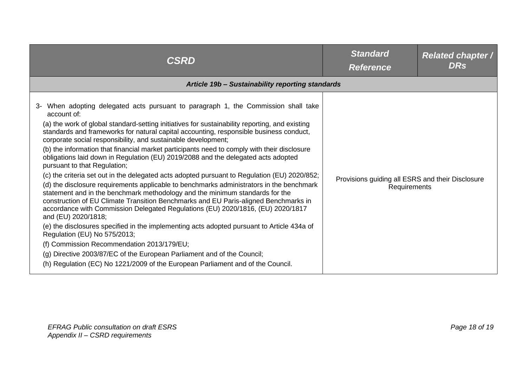| <b>CSRD</b>                                                                                                                                                                                                                                                                                                                                                                                                                                                                                                                                                                                                                                                                                                                                                                                                                                                                                                                                                                                                                                                                                                                                                                                                                                                                                                                                                                                            | <b>Standard</b><br><b>Reference</b>                              | <b>Related chapter /</b><br><b>DRs</b> |
|--------------------------------------------------------------------------------------------------------------------------------------------------------------------------------------------------------------------------------------------------------------------------------------------------------------------------------------------------------------------------------------------------------------------------------------------------------------------------------------------------------------------------------------------------------------------------------------------------------------------------------------------------------------------------------------------------------------------------------------------------------------------------------------------------------------------------------------------------------------------------------------------------------------------------------------------------------------------------------------------------------------------------------------------------------------------------------------------------------------------------------------------------------------------------------------------------------------------------------------------------------------------------------------------------------------------------------------------------------------------------------------------------------|------------------------------------------------------------------|----------------------------------------|
| Article 19b - Sustainability reporting standards                                                                                                                                                                                                                                                                                                                                                                                                                                                                                                                                                                                                                                                                                                                                                                                                                                                                                                                                                                                                                                                                                                                                                                                                                                                                                                                                                       |                                                                  |                                        |
| When adopting delegated acts pursuant to paragraph 1, the Commission shall take<br>account of:<br>(a) the work of global standard-setting initiatives for sustainability reporting, and existing<br>standards and frameworks for natural capital accounting, responsible business conduct,<br>corporate social responsibility, and sustainable development;<br>(b) the information that financial market participants need to comply with their disclosure<br>obligations laid down in Regulation (EU) 2019/2088 and the delegated acts adopted<br>pursuant to that Regulation;<br>(c) the criteria set out in the delegated acts adopted pursuant to Regulation (EU) 2020/852;<br>(d) the disclosure requirements applicable to benchmarks administrators in the benchmark<br>statement and in the benchmark methodology and the minimum standards for the<br>construction of EU Climate Transition Benchmarks and EU Paris-aligned Benchmarks in<br>accordance with Commission Delegated Regulations (EU) 2020/1816, (EU) 2020/1817<br>and (EU) 2020/1818;<br>(e) the disclosures specified in the implementing acts adopted pursuant to Article 434a of<br>Regulation (EU) No 575/2013;<br>(f) Commission Recommendation 2013/179/EU;<br>(g) Directive 2003/87/EC of the European Parliament and of the Council;<br>(h) Regulation (EC) No 1221/2009 of the European Parliament and of the Council. | Provisions guiding all ESRS and their Disclosure<br>Requirements |                                        |